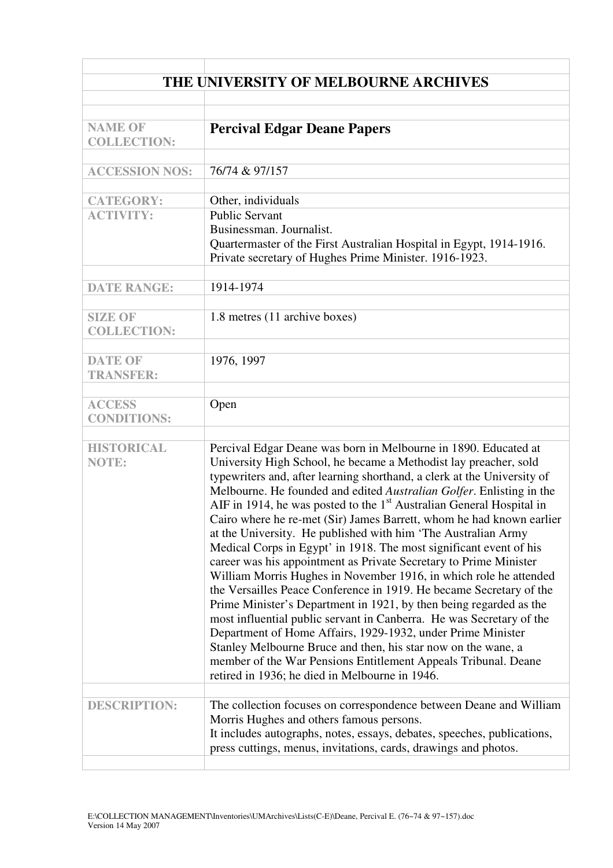| THE UNIVERSITY OF MELBOURNE ARCHIVES |                                                                                                                                                                                                                                                                                                                                                                                                                                                                                                                                                                                                                                                                                                                                                                                                                                                                                                                                                                                                                                                                                                                                                                                                    |  |  |
|--------------------------------------|----------------------------------------------------------------------------------------------------------------------------------------------------------------------------------------------------------------------------------------------------------------------------------------------------------------------------------------------------------------------------------------------------------------------------------------------------------------------------------------------------------------------------------------------------------------------------------------------------------------------------------------------------------------------------------------------------------------------------------------------------------------------------------------------------------------------------------------------------------------------------------------------------------------------------------------------------------------------------------------------------------------------------------------------------------------------------------------------------------------------------------------------------------------------------------------------------|--|--|
|                                      |                                                                                                                                                                                                                                                                                                                                                                                                                                                                                                                                                                                                                                                                                                                                                                                                                                                                                                                                                                                                                                                                                                                                                                                                    |  |  |
| <b>NAME OF</b><br><b>COLLECTION:</b> | <b>Percival Edgar Deane Papers</b>                                                                                                                                                                                                                                                                                                                                                                                                                                                                                                                                                                                                                                                                                                                                                                                                                                                                                                                                                                                                                                                                                                                                                                 |  |  |
| <b>ACCESSION NOS:</b>                | 76/74 & 97/157                                                                                                                                                                                                                                                                                                                                                                                                                                                                                                                                                                                                                                                                                                                                                                                                                                                                                                                                                                                                                                                                                                                                                                                     |  |  |
| <b>CATEGORY:</b><br><b>ACTIVITY:</b> | Other, individuals<br><b>Public Servant</b><br>Businessman. Journalist.<br>Quartermaster of the First Australian Hospital in Egypt, 1914-1916.<br>Private secretary of Hughes Prime Minister. 1916-1923.                                                                                                                                                                                                                                                                                                                                                                                                                                                                                                                                                                                                                                                                                                                                                                                                                                                                                                                                                                                           |  |  |
| <b>DATE RANGE:</b>                   | 1914-1974                                                                                                                                                                                                                                                                                                                                                                                                                                                                                                                                                                                                                                                                                                                                                                                                                                                                                                                                                                                                                                                                                                                                                                                          |  |  |
| <b>SIZE OF</b><br><b>COLLECTION:</b> | 1.8 metres (11 archive boxes)                                                                                                                                                                                                                                                                                                                                                                                                                                                                                                                                                                                                                                                                                                                                                                                                                                                                                                                                                                                                                                                                                                                                                                      |  |  |
| <b>DATE OF</b><br><b>TRANSFER:</b>   | 1976, 1997                                                                                                                                                                                                                                                                                                                                                                                                                                                                                                                                                                                                                                                                                                                                                                                                                                                                                                                                                                                                                                                                                                                                                                                         |  |  |
| <b>ACCESS</b><br><b>CONDITIONS:</b>  | Open                                                                                                                                                                                                                                                                                                                                                                                                                                                                                                                                                                                                                                                                                                                                                                                                                                                                                                                                                                                                                                                                                                                                                                                               |  |  |
| <b>HISTORICAL</b><br><b>NOTE:</b>    | Percival Edgar Deane was born in Melbourne in 1890. Educated at<br>University High School, he became a Methodist lay preacher, sold<br>typewriters and, after learning shorthand, a clerk at the University of<br>Melbourne. He founded and edited Australian Golfer. Enlisting in the<br>AIF in 1914, he was posted to the $1st$ Australian General Hospital in<br>Cairo where he re-met (Sir) James Barrett, whom he had known earlier<br>at the University. He published with him 'The Australian Army<br>Medical Corps in Egypt' in 1918. The most significant event of his<br>career was his appointment as Private Secretary to Prime Minister<br>William Morris Hughes in November 1916, in which role he attended<br>the Versailles Peace Conference in 1919. He became Secretary of the<br>Prime Minister's Department in 1921, by then being regarded as the<br>most influential public servant in Canberra. He was Secretary of the<br>Department of Home Affairs, 1929-1932, under Prime Minister<br>Stanley Melbourne Bruce and then, his star now on the wane, a<br>member of the War Pensions Entitlement Appeals Tribunal. Deane<br>retired in 1936; he died in Melbourne in 1946. |  |  |
| <b>DESCRIPTION:</b>                  | The collection focuses on correspondence between Deane and William<br>Morris Hughes and others famous persons.<br>It includes autographs, notes, essays, debates, speeches, publications,<br>press cuttings, menus, invitations, cards, drawings and photos.                                                                                                                                                                                                                                                                                                                                                                                                                                                                                                                                                                                                                                                                                                                                                                                                                                                                                                                                       |  |  |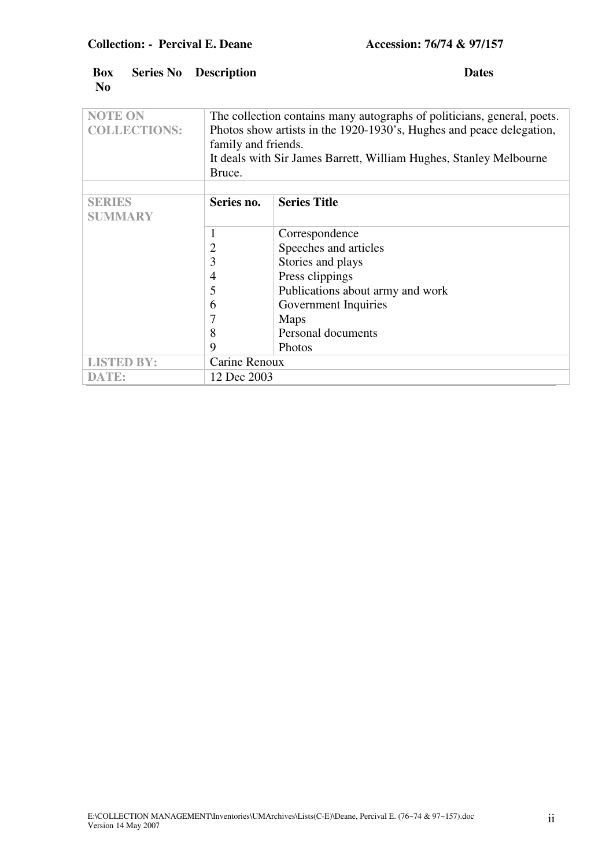| <b>Box</b><br>N <sub>0</sub>          |  | <b>Series No Description</b><br><b>Dates</b>                                                                                                                           |
|---------------------------------------|--|------------------------------------------------------------------------------------------------------------------------------------------------------------------------|
| <b>NOTE ON</b><br><b>COLLECTIONS:</b> |  | The collection contains many autographs of politicians, general, poets.<br>Photos show artists in the 1920-1930's, Hughes and peace delegation,<br>family and friends. |
|                                       |  | It deals with Sir James Barrett, William Hughes, Stanley Melbourne<br>Bruce.                                                                                           |

|                   | Bruce.        |                                  |  |
|-------------------|---------------|----------------------------------|--|
|                   |               |                                  |  |
| <b>SERIES</b>     | Series no.    | <b>Series Title</b>              |  |
| <b>SUMMARY</b>    |               |                                  |  |
|                   |               | Correspondence                   |  |
|                   | 2             | Speeches and articles            |  |
|                   | 3             | Stories and plays                |  |
|                   | 4             | Press clippings                  |  |
|                   | 5             | Publications about army and work |  |
|                   | 6             | Government Inquiries             |  |
|                   |               | Maps                             |  |
|                   | 8             | Personal documents               |  |
|                   | 9             | Photos                           |  |
| <b>LISTED BY:</b> | Carine Renoux |                                  |  |
| DATE:             | 12 Dec 2003   |                                  |  |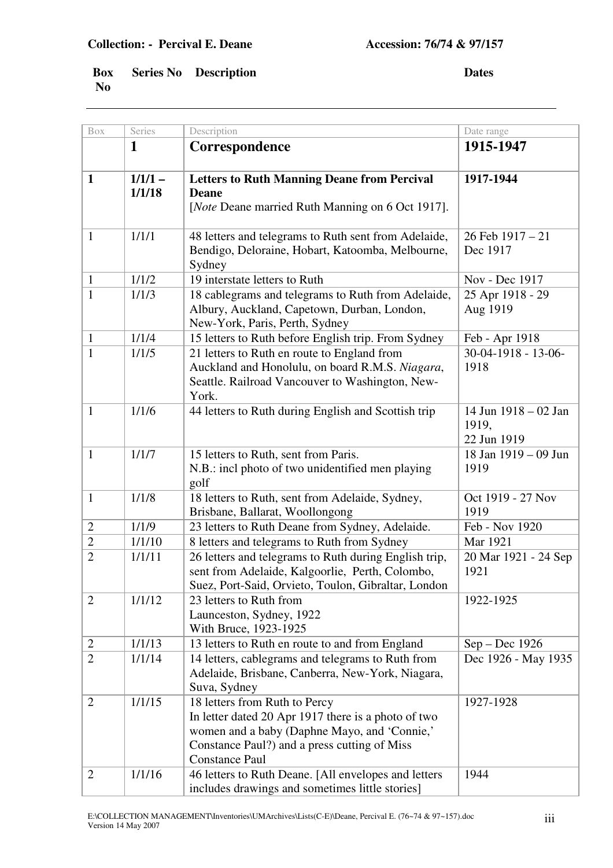| Box            | Series              | Description                                                                                                                                                                                                   | Date range                                   |
|----------------|---------------------|---------------------------------------------------------------------------------------------------------------------------------------------------------------------------------------------------------------|----------------------------------------------|
|                | 1                   | Correspondence                                                                                                                                                                                                | 1915-1947                                    |
| $\mathbf{1}$   | $1/1/1 -$<br>1/1/18 | <b>Letters to Ruth Manning Deane from Percival</b><br><b>Deane</b><br>[ <i>Note</i> Deane married Ruth Manning on 6 Oct 1917].                                                                                | 1917-1944                                    |
| $\mathbf{1}$   | 1/1/1               | 48 letters and telegrams to Ruth sent from Adelaide,<br>Bendigo, Deloraine, Hobart, Katoomba, Melbourne,<br>Sydney                                                                                            | $26$ Feb $1917 - 21$<br>Dec 1917             |
| $\mathbf{1}$   | 1/1/2               | 19 interstate letters to Ruth                                                                                                                                                                                 | Nov - Dec 1917                               |
| $\mathbf{1}$   | 1/1/3               | 18 cablegrams and telegrams to Ruth from Adelaide,<br>Albury, Auckland, Capetown, Durban, London,<br>New-York, Paris, Perth, Sydney                                                                           | 25 Apr 1918 - 29<br>Aug 1919                 |
| $\mathbf{1}$   | 1/1/4               | 15 letters to Ruth before English trip. From Sydney                                                                                                                                                           | Feb - Apr 1918                               |
| $\mathbf{1}$   | 1/1/5               | 21 letters to Ruth en route to England from<br>Auckland and Honolulu, on board R.M.S. Niagara,<br>Seattle. Railroad Vancouver to Washington, New-<br>York.                                                    | $30-04-1918 - 13-06$<br>1918                 |
| $\mathbf{1}$   | 1/1/6               | 44 letters to Ruth during English and Scottish trip                                                                                                                                                           | 14 Jun 1918 – 02 Jan<br>1919,<br>22 Jun 1919 |
| $\mathbf{1}$   | 1/1/7               | 15 letters to Ruth, sent from Paris.<br>N.B.: incl photo of two unidentified men playing<br>golf                                                                                                              | 18 Jan 1919 - 09 Jun<br>1919                 |
| $\mathbf{1}$   | 1/1/8               | 18 letters to Ruth, sent from Adelaide, Sydney,<br>Brisbane, Ballarat, Woollongong                                                                                                                            | Oct 1919 - 27 Nov<br>1919                    |
| $\mathbf{2}$   | 1/1/9               | 23 letters to Ruth Deane from Sydney, Adelaide.                                                                                                                                                               | Feb - Nov 1920                               |
| $\overline{2}$ | 1/1/10              | 8 letters and telegrams to Ruth from Sydney                                                                                                                                                                   | Mar 1921                                     |
| $\overline{2}$ | 1/1/11              | 26 letters and telegrams to Ruth during English trip,<br>sent from Adelaide, Kalgoorlie, Perth, Colombo,<br>Suez, Port-Said, Orvieto, Toulon, Gibraltar, London                                               | 20 Mar 1921 - 24 Sep<br>1921                 |
| $\overline{2}$ | 1/1/12              | 23 letters to Ruth from<br>Launceston, Sydney, 1922<br>With Bruce, 1923-1925                                                                                                                                  | 1922-1925                                    |
| $\overline{c}$ | 1/1/13              | 13 letters to Ruth en route to and from England                                                                                                                                                               | Sep - Dec 1926                               |
| $\overline{2}$ | 1/1/14              | 14 letters, cablegrams and telegrams to Ruth from<br>Adelaide, Brisbane, Canberra, New-York, Niagara,<br>Suva, Sydney                                                                                         | Dec 1926 - May 1935                          |
| $\overline{2}$ | 1/1/15              | 18 letters from Ruth to Percy<br>In letter dated 20 Apr 1917 there is a photo of two<br>women and a baby (Daphne Mayo, and 'Connie,'<br>Constance Paul?) and a press cutting of Miss<br><b>Constance Paul</b> | 1927-1928                                    |
| $\mathbf{2}$   | 1/1/16              | 46 letters to Ruth Deane. [All envelopes and letters<br>includes drawings and sometimes little stories]                                                                                                       | 1944                                         |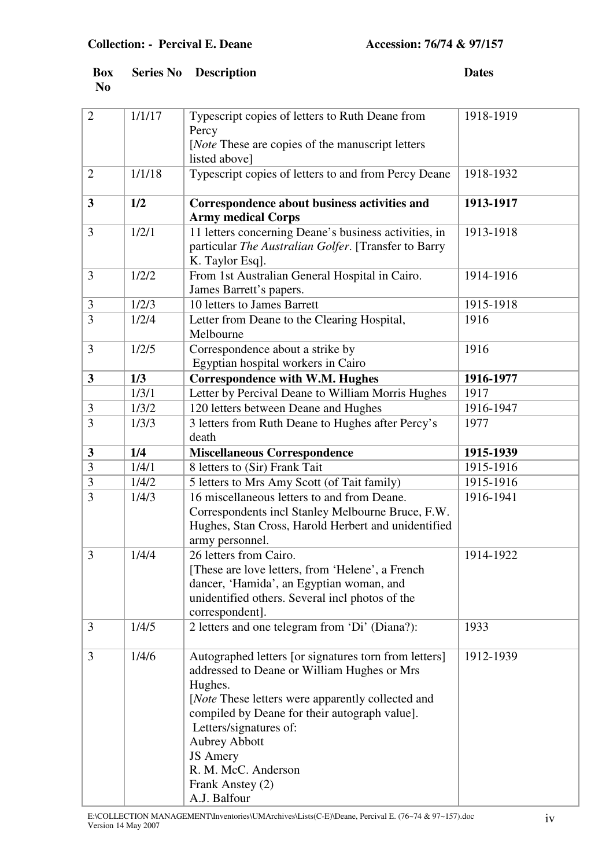| $\overline{2}$ | 1/1/17 | Typescript copies of letters to Ruth Deane from<br>Percy<br>[ <i>Note</i> These are copies of the manuscript letters<br>listed above]                                                                                                                                                                                                                         | 1918-1919 |
|----------------|--------|---------------------------------------------------------------------------------------------------------------------------------------------------------------------------------------------------------------------------------------------------------------------------------------------------------------------------------------------------------------|-----------|
| $\overline{2}$ | 1/1/18 | Typescript copies of letters to and from Percy Deane                                                                                                                                                                                                                                                                                                          | 1918-1932 |
| 3              | 1/2    | Correspondence about business activities and<br><b>Army medical Corps</b>                                                                                                                                                                                                                                                                                     | 1913-1917 |
| 3              | 1/2/1  | 11 letters concerning Deane's business activities, in<br>particular The Australian Golfer. [Transfer to Barry<br>K. Taylor Esq].                                                                                                                                                                                                                              | 1913-1918 |
| 3              | 1/2/2  | From 1st Australian General Hospital in Cairo.<br>James Barrett's papers.                                                                                                                                                                                                                                                                                     | 1914-1916 |
| 3              | 1/2/3  | 10 letters to James Barrett                                                                                                                                                                                                                                                                                                                                   | 1915-1918 |
| 3              | 1/2/4  | Letter from Deane to the Clearing Hospital,<br>Melbourne                                                                                                                                                                                                                                                                                                      | 1916      |
| 3              | 1/2/5  | Correspondence about a strike by<br>Egyptian hospital workers in Cairo                                                                                                                                                                                                                                                                                        | 1916      |
| 3              | 1/3    | <b>Correspondence with W.M. Hughes</b>                                                                                                                                                                                                                                                                                                                        | 1916-1977 |
|                | 1/3/1  | Letter by Percival Deane to William Morris Hughes                                                                                                                                                                                                                                                                                                             | 1917      |
| 3              | 1/3/2  | 120 letters between Deane and Hughes                                                                                                                                                                                                                                                                                                                          | 1916-1947 |
| 3              | 1/3/3  | 3 letters from Ruth Deane to Hughes after Percy's<br>death                                                                                                                                                                                                                                                                                                    | 1977      |
| 3              | 1/4    | <b>Miscellaneous Correspondence</b>                                                                                                                                                                                                                                                                                                                           | 1915-1939 |
| 3              | 1/4/1  | 8 letters to (Sir) Frank Tait                                                                                                                                                                                                                                                                                                                                 | 1915-1916 |
| 3              | 1/4/2  | 5 letters to Mrs Amy Scott (of Tait family)                                                                                                                                                                                                                                                                                                                   | 1915-1916 |
| 3              | 1/4/3  | 16 miscellaneous letters to and from Deane.<br>Correspondents incl Stanley Melbourne Bruce, F.W.<br>Hughes, Stan Cross, Harold Herbert and unidentified<br>army personnel.                                                                                                                                                                                    | 1916-1941 |
| 3              | 1/4/4  | 26 letters from Cairo.<br>[These are love letters, from 'Helene', a French<br>dancer, 'Hamida', an Egyptian woman, and<br>unidentified others. Several incl photos of the<br>correspondent].                                                                                                                                                                  | 1914-1922 |
| 3              | 1/4/5  | 2 letters and one telegram from 'Di' (Diana?):                                                                                                                                                                                                                                                                                                                | 1933      |
| 3              | 1/4/6  | Autographed letters [or signatures torn from letters]<br>addressed to Deane or William Hughes or Mrs<br>Hughes.<br>[ <i>Note</i> These letters were apparently collected and<br>compiled by Deane for their autograph value].<br>Letters/signatures of:<br><b>Aubrey Abbott</b><br><b>JS</b> Amery<br>R. M. McC. Anderson<br>Frank Anstey (2)<br>A.J. Balfour | 1912-1939 |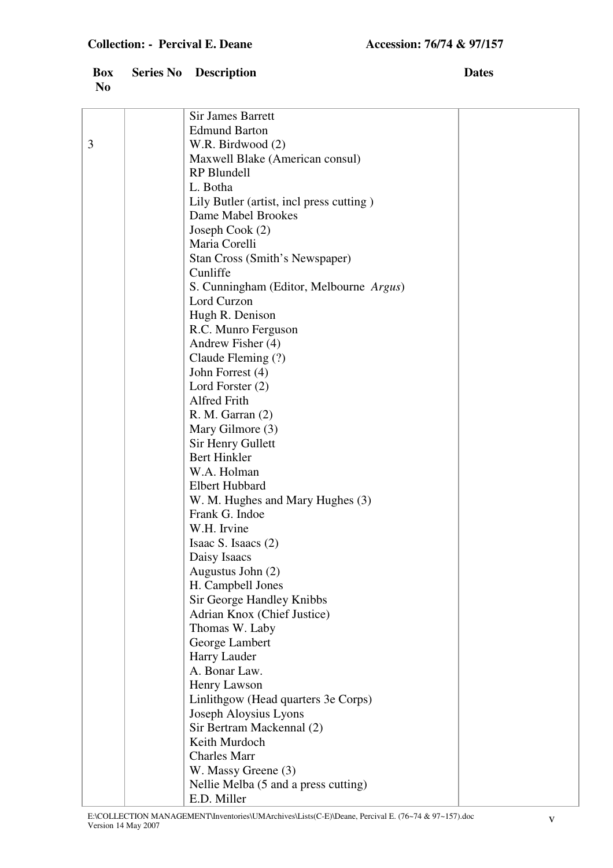|   | <b>Sir James Barrett</b>                            |  |
|---|-----------------------------------------------------|--|
|   | <b>Edmund Barton</b>                                |  |
| 3 | W.R. Birdwood (2)                                   |  |
|   | Maxwell Blake (American consul)                     |  |
|   | <b>RP</b> Blundell                                  |  |
|   | L. Botha                                            |  |
|   | Lily Butler (artist, incl press cutting)            |  |
|   | Dame Mabel Brookes                                  |  |
|   | Joseph Cook (2)                                     |  |
|   | Maria Corelli                                       |  |
|   | Stan Cross (Smith's Newspaper)                      |  |
|   | Cunliffe                                            |  |
|   | S. Cunningham (Editor, Melbourne Argus)             |  |
|   | Lord Curzon                                         |  |
|   | Hugh R. Denison                                     |  |
|   | R.C. Munro Ferguson                                 |  |
|   | Andrew Fisher (4)                                   |  |
|   | Claude Fleming (?)                                  |  |
|   | John Forrest (4)                                    |  |
|   | Lord Forster $(2)$                                  |  |
|   | Alfred Frith                                        |  |
|   | R. M. Garran(2)                                     |  |
|   | Mary Gilmore (3)                                    |  |
|   | Sir Henry Gullett                                   |  |
|   | <b>Bert Hinkler</b>                                 |  |
|   | W.A. Holman                                         |  |
|   | <b>Elbert Hubbard</b>                               |  |
|   | W. M. Hughes and Mary Hughes (3)                    |  |
|   | Frank G. Indoe                                      |  |
|   | W.H. Irvine                                         |  |
|   | Isaac S. Isaacs (2)                                 |  |
|   | Daisy Isaacs                                        |  |
|   | Augustus John (2)                                   |  |
|   | H. Campbell Jones                                   |  |
|   | Sir George Handley Knibbs                           |  |
|   | Adrian Knox (Chief Justice)                         |  |
|   | Thomas W. Laby                                      |  |
|   | George Lambert                                      |  |
|   | Harry Lauder<br>A. Bonar Law.                       |  |
|   |                                                     |  |
|   | Henry Lawson                                        |  |
|   | Linlithgow (Head quarters 3e Corps)                 |  |
|   | Joseph Aloysius Lyons                               |  |
|   | Sir Bertram Mackennal (2)<br>Keith Murdoch          |  |
|   | <b>Charles Marr</b>                                 |  |
|   |                                                     |  |
|   | W. Massy Greene (3)                                 |  |
|   | Nellie Melba (5 and a press cutting)<br>E.D. Miller |  |
|   |                                                     |  |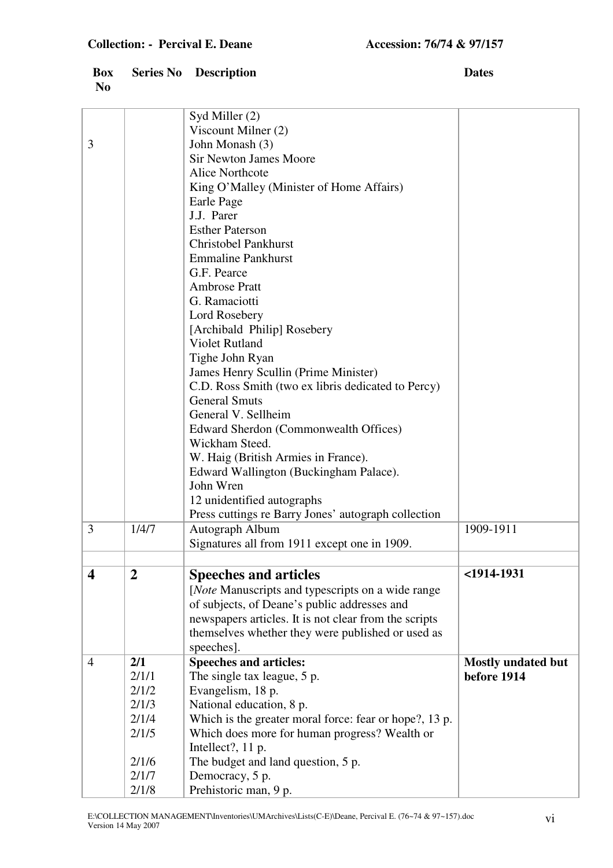| Viscount Milner (2)<br>3<br>John Monash (3)<br><b>Sir Newton James Moore</b><br><b>Alice Northcote</b><br>King O'Malley (Minister of Home Affairs)<br>Earle Page<br>J.J. Parer<br><b>Esther Paterson</b><br><b>Christobel Pankhurst</b><br><b>Emmaline Pankhurst</b><br>G.F. Pearce<br><b>Ambrose Pratt</b><br>G. Ramaciotti<br>Lord Rosebery<br>[Archibald Philip] Rosebery<br><b>Violet Rutland</b><br>Tighe John Ryan<br>James Henry Scullin (Prime Minister)<br>C.D. Ross Smith (two ex libris dedicated to Percy)<br><b>General Smuts</b><br>General V. Sellheim<br>Edward Sherdon (Commonwealth Offices)<br>Wickham Steed.<br>W. Haig (British Armies in France).<br>Edward Wallington (Buckingham Palace).<br>John Wren<br>12 unidentified autographs<br>Press cuttings re Barry Jones' autograph collection<br>1/4/7<br>3<br>Autograph Album<br>1909-1911 |  | Syd Miller (2)                               |  |
|-------------------------------------------------------------------------------------------------------------------------------------------------------------------------------------------------------------------------------------------------------------------------------------------------------------------------------------------------------------------------------------------------------------------------------------------------------------------------------------------------------------------------------------------------------------------------------------------------------------------------------------------------------------------------------------------------------------------------------------------------------------------------------------------------------------------------------------------------------------------|--|----------------------------------------------|--|
|                                                                                                                                                                                                                                                                                                                                                                                                                                                                                                                                                                                                                                                                                                                                                                                                                                                                   |  |                                              |  |
|                                                                                                                                                                                                                                                                                                                                                                                                                                                                                                                                                                                                                                                                                                                                                                                                                                                                   |  |                                              |  |
|                                                                                                                                                                                                                                                                                                                                                                                                                                                                                                                                                                                                                                                                                                                                                                                                                                                                   |  |                                              |  |
|                                                                                                                                                                                                                                                                                                                                                                                                                                                                                                                                                                                                                                                                                                                                                                                                                                                                   |  |                                              |  |
|                                                                                                                                                                                                                                                                                                                                                                                                                                                                                                                                                                                                                                                                                                                                                                                                                                                                   |  |                                              |  |
|                                                                                                                                                                                                                                                                                                                                                                                                                                                                                                                                                                                                                                                                                                                                                                                                                                                                   |  |                                              |  |
|                                                                                                                                                                                                                                                                                                                                                                                                                                                                                                                                                                                                                                                                                                                                                                                                                                                                   |  |                                              |  |
|                                                                                                                                                                                                                                                                                                                                                                                                                                                                                                                                                                                                                                                                                                                                                                                                                                                                   |  |                                              |  |
|                                                                                                                                                                                                                                                                                                                                                                                                                                                                                                                                                                                                                                                                                                                                                                                                                                                                   |  |                                              |  |
|                                                                                                                                                                                                                                                                                                                                                                                                                                                                                                                                                                                                                                                                                                                                                                                                                                                                   |  |                                              |  |
|                                                                                                                                                                                                                                                                                                                                                                                                                                                                                                                                                                                                                                                                                                                                                                                                                                                                   |  |                                              |  |
|                                                                                                                                                                                                                                                                                                                                                                                                                                                                                                                                                                                                                                                                                                                                                                                                                                                                   |  |                                              |  |
|                                                                                                                                                                                                                                                                                                                                                                                                                                                                                                                                                                                                                                                                                                                                                                                                                                                                   |  |                                              |  |
|                                                                                                                                                                                                                                                                                                                                                                                                                                                                                                                                                                                                                                                                                                                                                                                                                                                                   |  |                                              |  |
|                                                                                                                                                                                                                                                                                                                                                                                                                                                                                                                                                                                                                                                                                                                                                                                                                                                                   |  |                                              |  |
|                                                                                                                                                                                                                                                                                                                                                                                                                                                                                                                                                                                                                                                                                                                                                                                                                                                                   |  |                                              |  |
|                                                                                                                                                                                                                                                                                                                                                                                                                                                                                                                                                                                                                                                                                                                                                                                                                                                                   |  |                                              |  |
|                                                                                                                                                                                                                                                                                                                                                                                                                                                                                                                                                                                                                                                                                                                                                                                                                                                                   |  |                                              |  |
|                                                                                                                                                                                                                                                                                                                                                                                                                                                                                                                                                                                                                                                                                                                                                                                                                                                                   |  |                                              |  |
|                                                                                                                                                                                                                                                                                                                                                                                                                                                                                                                                                                                                                                                                                                                                                                                                                                                                   |  |                                              |  |
|                                                                                                                                                                                                                                                                                                                                                                                                                                                                                                                                                                                                                                                                                                                                                                                                                                                                   |  |                                              |  |
|                                                                                                                                                                                                                                                                                                                                                                                                                                                                                                                                                                                                                                                                                                                                                                                                                                                                   |  |                                              |  |
|                                                                                                                                                                                                                                                                                                                                                                                                                                                                                                                                                                                                                                                                                                                                                                                                                                                                   |  |                                              |  |
|                                                                                                                                                                                                                                                                                                                                                                                                                                                                                                                                                                                                                                                                                                                                                                                                                                                                   |  |                                              |  |
|                                                                                                                                                                                                                                                                                                                                                                                                                                                                                                                                                                                                                                                                                                                                                                                                                                                                   |  |                                              |  |
|                                                                                                                                                                                                                                                                                                                                                                                                                                                                                                                                                                                                                                                                                                                                                                                                                                                                   |  |                                              |  |
|                                                                                                                                                                                                                                                                                                                                                                                                                                                                                                                                                                                                                                                                                                                                                                                                                                                                   |  |                                              |  |
|                                                                                                                                                                                                                                                                                                                                                                                                                                                                                                                                                                                                                                                                                                                                                                                                                                                                   |  |                                              |  |
|                                                                                                                                                                                                                                                                                                                                                                                                                                                                                                                                                                                                                                                                                                                                                                                                                                                                   |  |                                              |  |
|                                                                                                                                                                                                                                                                                                                                                                                                                                                                                                                                                                                                                                                                                                                                                                                                                                                                   |  |                                              |  |
|                                                                                                                                                                                                                                                                                                                                                                                                                                                                                                                                                                                                                                                                                                                                                                                                                                                                   |  | Signatures all from 1911 except one in 1909. |  |
|                                                                                                                                                                                                                                                                                                                                                                                                                                                                                                                                                                                                                                                                                                                                                                                                                                                                   |  |                                              |  |
| 4<br>$\overline{2}$<br><b>Speeches and articles</b><br><1914-1931                                                                                                                                                                                                                                                                                                                                                                                                                                                                                                                                                                                                                                                                                                                                                                                                 |  |                                              |  |
| [Note Manuscripts and typescripts on a wide range                                                                                                                                                                                                                                                                                                                                                                                                                                                                                                                                                                                                                                                                                                                                                                                                                 |  |                                              |  |
| of subjects, of Deane's public addresses and                                                                                                                                                                                                                                                                                                                                                                                                                                                                                                                                                                                                                                                                                                                                                                                                                      |  |                                              |  |
| newspapers articles. It is not clear from the scripts                                                                                                                                                                                                                                                                                                                                                                                                                                                                                                                                                                                                                                                                                                                                                                                                             |  |                                              |  |
| themselves whether they were published or used as                                                                                                                                                                                                                                                                                                                                                                                                                                                                                                                                                                                                                                                                                                                                                                                                                 |  |                                              |  |
| speeches].                                                                                                                                                                                                                                                                                                                                                                                                                                                                                                                                                                                                                                                                                                                                                                                                                                                        |  |                                              |  |
| 2/1<br><b>Speeches and articles:</b><br>$\overline{4}$<br><b>Mostly undated but</b>                                                                                                                                                                                                                                                                                                                                                                                                                                                                                                                                                                                                                                                                                                                                                                               |  |                                              |  |
| before 1914<br>The single tax league, 5 p.<br>2/1/1                                                                                                                                                                                                                                                                                                                                                                                                                                                                                                                                                                                                                                                                                                                                                                                                               |  |                                              |  |
| 2/1/2<br>Evangelism, 18 p.                                                                                                                                                                                                                                                                                                                                                                                                                                                                                                                                                                                                                                                                                                                                                                                                                                        |  |                                              |  |
| 2/1/3<br>National education, 8 p.                                                                                                                                                                                                                                                                                                                                                                                                                                                                                                                                                                                                                                                                                                                                                                                                                                 |  |                                              |  |
| 2/1/4<br>Which is the greater moral force: fear or hope?, 13 p.                                                                                                                                                                                                                                                                                                                                                                                                                                                                                                                                                                                                                                                                                                                                                                                                   |  |                                              |  |
| Which does more for human progress? Wealth or<br>2/1/5                                                                                                                                                                                                                                                                                                                                                                                                                                                                                                                                                                                                                                                                                                                                                                                                            |  |                                              |  |
| Intellect?, 11 p.                                                                                                                                                                                                                                                                                                                                                                                                                                                                                                                                                                                                                                                                                                                                                                                                                                                 |  |                                              |  |
| The budget and land question, 5 p.<br>2/1/6                                                                                                                                                                                                                                                                                                                                                                                                                                                                                                                                                                                                                                                                                                                                                                                                                       |  |                                              |  |
| Democracy, 5 p.<br>2/1/7                                                                                                                                                                                                                                                                                                                                                                                                                                                                                                                                                                                                                                                                                                                                                                                                                                          |  |                                              |  |
| Prehistoric man, 9 p.<br>2/1/8                                                                                                                                                                                                                                                                                                                                                                                                                                                                                                                                                                                                                                                                                                                                                                                                                                    |  |                                              |  |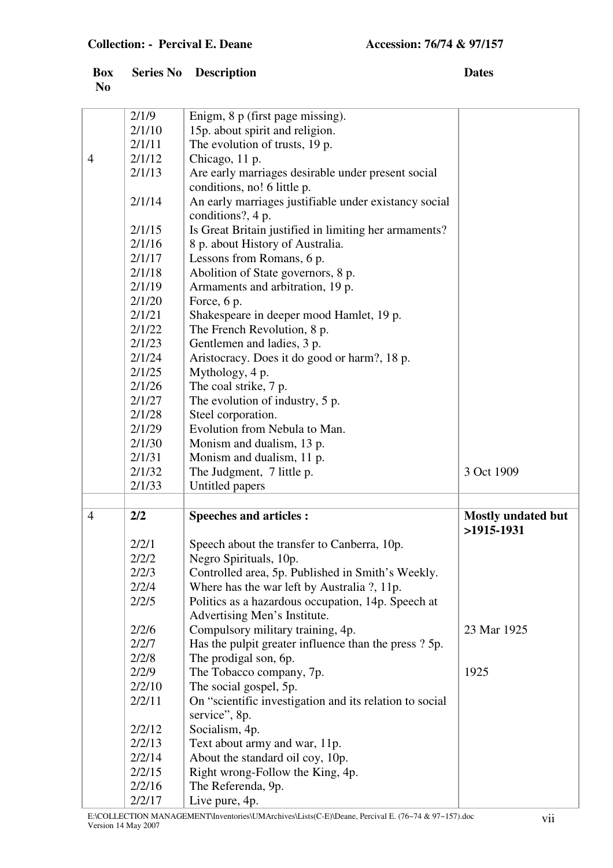|                | <b>Box</b> Series No Description | <b>Dates</b> |
|----------------|----------------------------------|--------------|
| N <sub>0</sub> |                                  |              |

|                | 2/1/9            | Enigm, 8 p (first page missing).                        |                                           |
|----------------|------------------|---------------------------------------------------------|-------------------------------------------|
|                | 2/1/10           | 15p. about spirit and religion.                         |                                           |
|                | 2/1/11           | The evolution of trusts, 19 p.                          |                                           |
| $\overline{4}$ | 2/1/12           | Chicago, 11 p.                                          |                                           |
|                | 2/1/13           | Are early marriages desirable under present social      |                                           |
|                |                  | conditions, no! 6 little p.                             |                                           |
|                | 2/1/14           | An early marriages justifiable under existancy social   |                                           |
|                |                  | conditions?, 4 p.                                       |                                           |
|                | 2/1/15           | Is Great Britain justified in limiting her armaments?   |                                           |
|                | 2/1/16           | 8 p. about History of Australia.                        |                                           |
|                | 2/1/17           | Lessons from Romans, 6 p.                               |                                           |
|                | 2/1/18           | Abolition of State governors, 8 p.                      |                                           |
|                | 2/1/19           | Armaments and arbitration, 19 p.                        |                                           |
|                | 2/1/20           | Force, 6 p.                                             |                                           |
|                | 2/1/21           | Shakespeare in deeper mood Hamlet, 19 p.                |                                           |
|                | 2/1/22           | The French Revolution, 8 p.                             |                                           |
|                | 2/1/23           | Gentlemen and ladies, 3 p.                              |                                           |
|                | 2/1/24           | Aristocracy. Does it do good or harm?, 18 p.            |                                           |
|                | 2/1/25           | Mythology, 4 p.                                         |                                           |
|                | 2/1/26           |                                                         |                                           |
|                |                  | The coal strike, 7 p.                                   |                                           |
|                | 2/1/27           | The evolution of industry, 5 p.                         |                                           |
|                | 2/1/28           | Steel corporation.                                      |                                           |
|                | 2/1/29           | Evolution from Nebula to Man.                           |                                           |
|                | 2/1/30           | Monism and dualism, 13 p.                               |                                           |
|                | 2/1/31           | Monism and dualism, 11 p.                               |                                           |
|                | 2/1/32           | The Judgment, 7 little p.                               | 3 Oct 1909                                |
|                | 2/1/33           | Untitled papers                                         |                                           |
| $\overline{4}$ |                  |                                                         |                                           |
|                | 2/2              | <b>Speeches and articles:</b>                           | <b>Mostly undated but</b><br>$>1915-1931$ |
|                |                  |                                                         |                                           |
|                |                  |                                                         |                                           |
|                | 2/2/1            | Speech about the transfer to Canberra, 10p.             |                                           |
|                | 2/2/2            | Negro Spirituals, 10p.                                  |                                           |
|                | 2/2/3            | Controlled area, 5p. Published in Smith's Weekly.       |                                           |
|                | 2/2/4            | Where has the war left by Australia ?, 11p.             |                                           |
|                | 2/2/5            | Politics as a hazardous occupation, 14p. Speech at      |                                           |
|                |                  | Advertising Men's Institute.                            |                                           |
|                | 2/2/6            | Compulsory military training, 4p.                       | 23 Mar 1925                               |
|                | 2/2/7            | Has the pulpit greater influence than the press? 5p.    |                                           |
|                | 2/2/8            | The prodigal son, 6p.                                   |                                           |
|                | 2/2/9            | The Tobacco company, 7p.                                | 1925                                      |
|                | 2/2/10           | The social gospel, 5p.                                  |                                           |
|                | 2/2/11           | On "scientific investigation and its relation to social |                                           |
|                |                  | service", 8p.                                           |                                           |
|                | 2/2/12           | Socialism, 4p.                                          |                                           |
|                | 2/2/13           | Text about army and war, 11p.                           |                                           |
|                | 2/2/14           | About the standard oil coy, 10p.                        |                                           |
|                | 2/2/15           | Right wrong-Follow the King, 4p.                        |                                           |
|                | 2/2/16<br>2/2/17 | The Referenda, 9p.<br>Live pure, 4p.                    |                                           |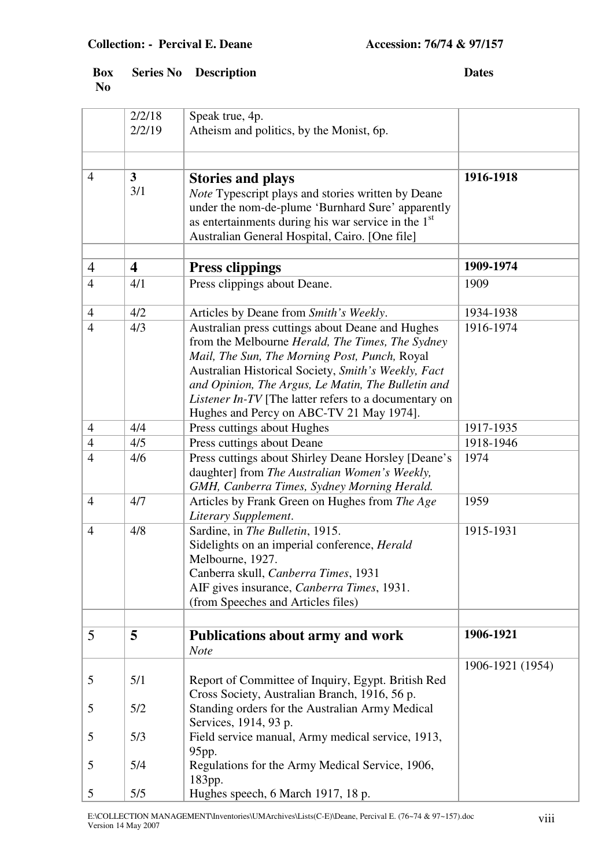|                | 2/2/18<br>2/2/19        | Speak true, 4p.<br>Atheism and politics, by the Monist, 6p.                                                                                                                                                                                                                                                                                                                    |                  |
|----------------|-------------------------|--------------------------------------------------------------------------------------------------------------------------------------------------------------------------------------------------------------------------------------------------------------------------------------------------------------------------------------------------------------------------------|------------------|
|                |                         |                                                                                                                                                                                                                                                                                                                                                                                |                  |
| $\overline{4}$ | 3 <sup>1</sup><br>3/1   | <b>Stories and plays</b><br>Note Typescript plays and stories written by Deane<br>under the nom-de-plume 'Burnhard Sure' apparently<br>as entertainments during his war service in the $1st$<br>Australian General Hospital, Cairo. [One file]                                                                                                                                 | 1916-1918        |
|                |                         |                                                                                                                                                                                                                                                                                                                                                                                | 1909-1974        |
| $\overline{4}$ | $\overline{\mathbf{4}}$ | <b>Press clippings</b>                                                                                                                                                                                                                                                                                                                                                         |                  |
| $\overline{4}$ | 4/1                     | Press clippings about Deane.                                                                                                                                                                                                                                                                                                                                                   | 1909             |
| $\overline{4}$ | 4/2                     | Articles by Deane from Smith's Weekly.                                                                                                                                                                                                                                                                                                                                         | 1934-1938        |
| $\overline{4}$ | 4/3                     | Australian press cuttings about Deane and Hughes<br>from the Melbourne Herald, The Times, The Sydney<br>Mail, The Sun, The Morning Post, Punch, Royal<br>Australian Historical Society, Smith's Weekly, Fact<br>and Opinion, The Argus, Le Matin, The Bulletin and<br><i>Listener In-TV</i> [The latter refers to a documentary on<br>Hughes and Percy on ABC-TV 21 May 1974]. | 1916-1974        |
| $\overline{4}$ | 4/4                     | Press cuttings about Hughes                                                                                                                                                                                                                                                                                                                                                    | 1917-1935        |
| $\overline{4}$ | 4/5                     | Press cuttings about Deane                                                                                                                                                                                                                                                                                                                                                     | 1918-1946        |
| $\overline{4}$ | 4/6                     | Press cuttings about Shirley Deane Horsley [Deane's<br>daughter] from The Australian Women's Weekly,<br>GMH, Canberra Times, Sydney Morning Herald.                                                                                                                                                                                                                            | 1974             |
| $\overline{4}$ | 4/7                     | Articles by Frank Green on Hughes from The Age<br>Literary Supplement.                                                                                                                                                                                                                                                                                                         | 1959             |
| $\overline{4}$ | 4/8                     | Sardine, in The Bulletin, 1915.<br>Sidelights on an imperial conference, Herald<br>Melbourne, 1927.<br>Canberra skull, Canberra Times, 1931<br>AIF gives insurance, Canberra Times, 1931.<br>(from Speeches and Articles files)                                                                                                                                                | 1915-1931        |
|                |                         |                                                                                                                                                                                                                                                                                                                                                                                |                  |
| 5              | 5                       | <b>Publications about army and work</b><br><b>Note</b>                                                                                                                                                                                                                                                                                                                         | 1906-1921        |
| 5              | 5/1                     | Report of Committee of Inquiry, Egypt. British Red<br>Cross Society, Australian Branch, 1916, 56 p.                                                                                                                                                                                                                                                                            | 1906-1921 (1954) |
| 5              | 5/2                     | Standing orders for the Australian Army Medical<br>Services, 1914, 93 p.                                                                                                                                                                                                                                                                                                       |                  |
| 5              | 5/3                     | Field service manual, Army medical service, 1913,<br>95pp.                                                                                                                                                                                                                                                                                                                     |                  |
| 5              | 5/4                     | Regulations for the Army Medical Service, 1906,<br>183pp.                                                                                                                                                                                                                                                                                                                      |                  |
| 5              | 5/5                     | Hughes speech, 6 March 1917, 18 p.                                                                                                                                                                                                                                                                                                                                             |                  |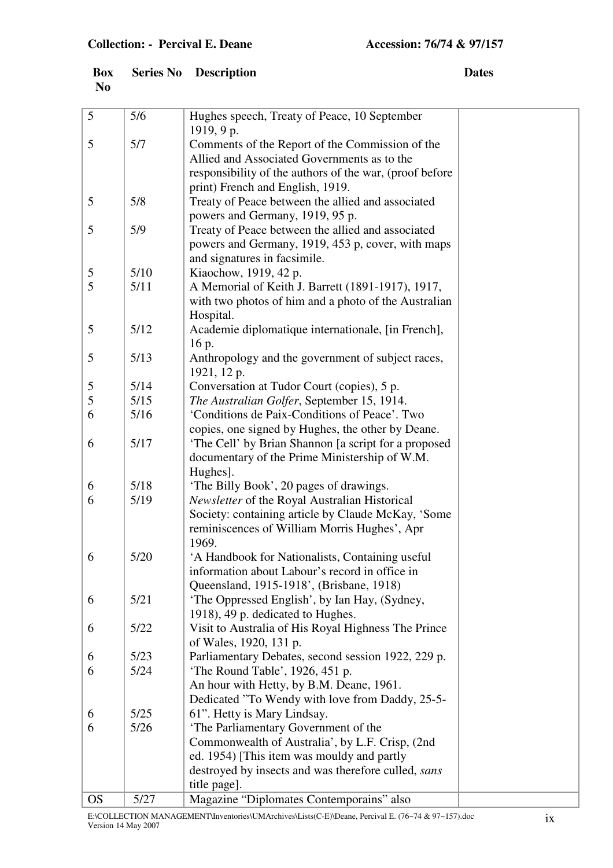|                | <b>Box</b> Series No Description | <b>Dates</b> |
|----------------|----------------------------------|--------------|
| N <sub>0</sub> |                                  |              |

| 5         | 5/6  | Hughes speech, Treaty of Peace, 10 September                    |  |
|-----------|------|-----------------------------------------------------------------|--|
|           |      | 1919, 9p.                                                       |  |
| 5         | 5/7  | Comments of the Report of the Commission of the                 |  |
|           |      | Allied and Associated Governments as to the                     |  |
|           |      | responsibility of the authors of the war, (proof before         |  |
|           |      | print) French and English, 1919.                                |  |
| 5         | 5/8  | Treaty of Peace between the allied and associated               |  |
|           |      | powers and Germany, 1919, 95 p.                                 |  |
| 5         | 5/9  | Treaty of Peace between the allied and associated               |  |
|           |      | powers and Germany, 1919, 453 p, cover, with maps               |  |
|           |      | and signatures in facsimile.                                    |  |
| 5<br>5    | 5/10 | Kiaochow, 1919, 42 p.                                           |  |
|           | 5/11 | A Memorial of Keith J. Barrett (1891-1917), 1917,               |  |
|           |      | with two photos of him and a photo of the Australian            |  |
| 5         | 5/12 | Hospital.<br>Academie diplomatique internationale, [in French], |  |
|           |      | 16 p.                                                           |  |
| 5         | 5/13 | Anthropology and the government of subject races,               |  |
|           |      | 1921, 12 p.                                                     |  |
| 5         | 5/14 | Conversation at Tudor Court (copies), 5 p.                      |  |
| 5         | 5/15 | The Australian Golfer, September 15, 1914.                      |  |
| 6         | 5/16 | 'Conditions de Paix-Conditions of Peace'. Two                   |  |
|           |      | copies, one signed by Hughes, the other by Deane.               |  |
| 6         | 5/17 | 'The Cell' by Brian Shannon [a script for a proposed            |  |
|           |      | documentary of the Prime Ministership of W.M.                   |  |
|           |      | Hughes].                                                        |  |
| 6         | 5/18 | 'The Billy Book', 20 pages of drawings.                         |  |
| 6         | 5/19 | Newsletter of the Royal Australian Historical                   |  |
|           |      | Society: containing article by Claude McKay, 'Some              |  |
|           |      | reminiscences of William Morris Hughes', Apr                    |  |
|           |      | 1969.                                                           |  |
| 6         | 5/20 | 'A Handbook for Nationalists, Containing useful                 |  |
|           |      | information about Labour's record in office in                  |  |
|           |      | Queensland, 1915-1918', (Brisbane, 1918)                        |  |
| 6         | 5/21 | 'The Oppressed English', by Ian Hay, (Sydney,                   |  |
|           |      | 1918), 49 p. dedicated to Hughes.                               |  |
| 6         | 5/22 | Visit to Australia of His Royal Highness The Prince             |  |
|           |      | of Wales, 1920, 131 p.                                          |  |
| 6         | 5/23 | Parliamentary Debates, second session 1922, 229 p.              |  |
| 6         | 5/24 | 'The Round Table', 1926, 451 p.                                 |  |
|           |      | An hour with Hetty, by B.M. Deane, 1961.                        |  |
|           |      | Dedicated "To Wendy with love from Daddy, 25-5-                 |  |
| 6         | 5/25 | 61". Hetty is Mary Lindsay.                                     |  |
| 6         | 5/26 | 'The Parliamentary Government of the                            |  |
|           |      | Commonwealth of Australia', by L.F. Crisp, (2nd                 |  |
|           |      | ed. 1954) [This item was mouldy and partly                      |  |
|           |      | destroyed by insects and was therefore culled, sans             |  |
|           |      | title page].                                                    |  |
| <b>OS</b> | 5/27 | Magazine "Diplomates Contemporains" also                        |  |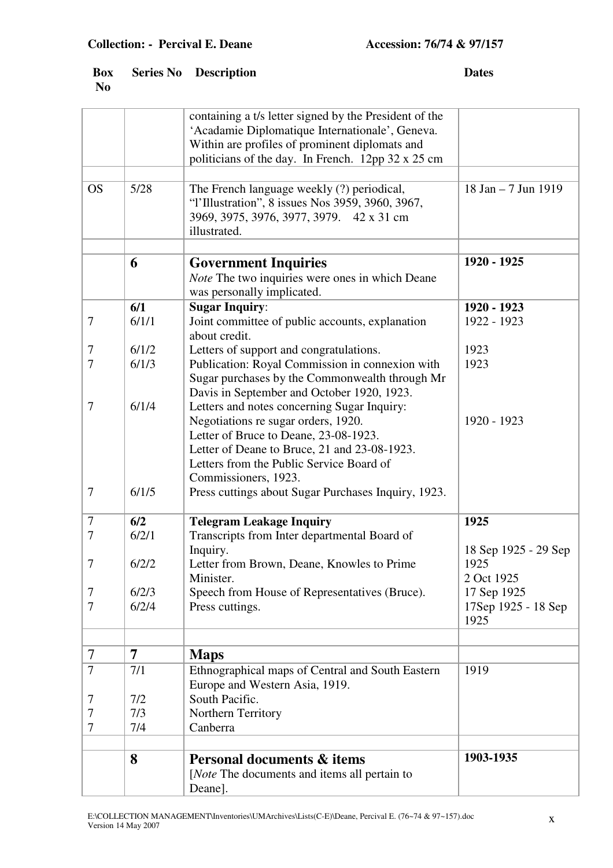|                |                | containing a t/s letter signed by the President of the<br>'Acadamie Diplomatique Internationale', Geneva.<br>Within are profiles of prominent diplomats and<br>politicians of the day. In French. 12pp 32 x 25 cm                               |                                            |
|----------------|----------------|-------------------------------------------------------------------------------------------------------------------------------------------------------------------------------------------------------------------------------------------------|--------------------------------------------|
| <b>OS</b>      | 5/28           | The French language weekly (?) periodical,<br>"l'Illustration", 8 issues Nos 3959, 3960, 3967,<br>3969, 3975, 3976, 3977, 3979. 42 x 31 cm<br>illustrated.                                                                                      | 18 Jan - 7 Jun 1919                        |
|                | 6              | <b>Government Inquiries</b><br>Note The two inquiries were ones in which Deane<br>was personally implicated.                                                                                                                                    | 1920 - 1925                                |
| $\tau$         | 6/1<br>6/1/1   | <b>Sugar Inquiry:</b><br>Joint committee of public accounts, explanation<br>about credit.                                                                                                                                                       | 1920 - 1923<br>1922 - 1923                 |
| 7<br>$\tau$    | 6/1/2<br>6/1/3 | Letters of support and congratulations.<br>Publication: Royal Commission in connexion with<br>Sugar purchases by the Commonwealth through Mr<br>Davis in September and October 1920, 1923.                                                      | 1923<br>1923                               |
| 7              | 6/1/4          | Letters and notes concerning Sugar Inquiry:<br>Negotiations re sugar orders, 1920.<br>Letter of Bruce to Deane, 23-08-1923.<br>Letter of Deane to Bruce, 21 and 23-08-1923.<br>Letters from the Public Service Board of<br>Commissioners, 1923. | 1920 - 1923                                |
| $\overline{7}$ | 6/1/5          | Press cuttings about Sugar Purchases Inquiry, 1923.                                                                                                                                                                                             |                                            |
| $\tau$<br>7    | 6/2<br>6/2/1   | <b>Telegram Leakage Inquiry</b><br>Transcripts from Inter departmental Board of<br>Inquiry.                                                                                                                                                     | 1925<br>18 Sep 1925 - 29 Sep               |
| $\overline{7}$ | 6/2/2          | Letter from Brown, Deane, Knowles to Prime<br>Minister.                                                                                                                                                                                         | 1925<br>2 Oct 1925                         |
| 7<br>7         | 6/2/3<br>6/2/4 | Speech from House of Representatives (Bruce).<br>Press cuttings.                                                                                                                                                                                | 17 Sep 1925<br>17Sep 1925 - 18 Sep<br>1925 |
| 7              | $\overline{7}$ | <b>Maps</b>                                                                                                                                                                                                                                     |                                            |
| 7              | 7/1            | Ethnographical maps of Central and South Eastern<br>Europe and Western Asia, 1919.                                                                                                                                                              | 1919                                       |
| 7              | 7/2            | South Pacific.                                                                                                                                                                                                                                  |                                            |
| 7<br>7         | 7/3<br>7/4     | Northern Territory<br>Canberra                                                                                                                                                                                                                  |                                            |
|                | 8              | <b>Personal documents &amp; items</b><br>[ <i>Note</i> The documents and items all pertain to<br>Deane].                                                                                                                                        | 1903-1935                                  |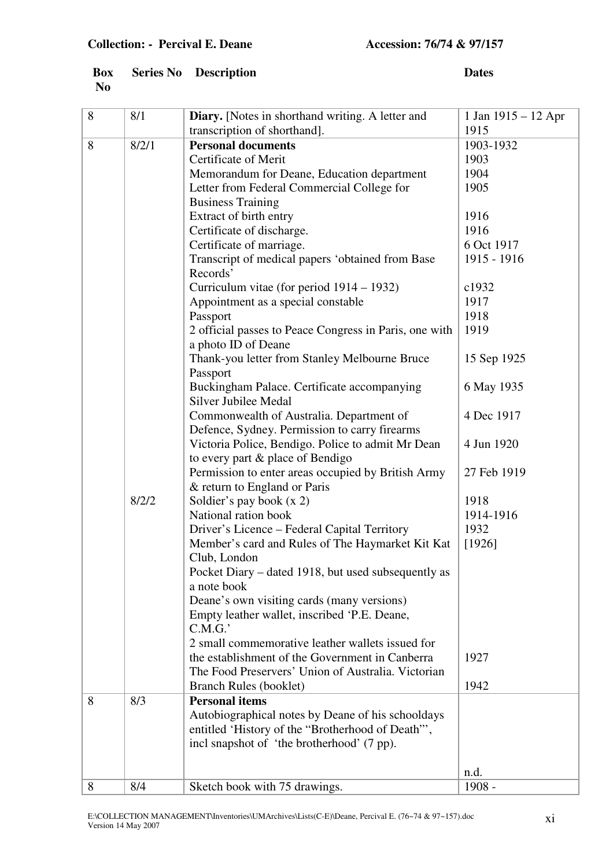|                | <b>Box</b> Series No Description | <b>Dates</b> |
|----------------|----------------------------------|--------------|
| N <sub>0</sub> |                                  |              |

| 8 | 8/1   | Diary. [Notes in shorthand writing. A letter and                                                   | 1 Jan $1915 - 12$ Apr |
|---|-------|----------------------------------------------------------------------------------------------------|-----------------------|
|   |       | transcription of shorthand].                                                                       | 1915                  |
| 8 | 8/2/1 | <b>Personal documents</b>                                                                          | 1903-1932             |
|   |       | Certificate of Merit                                                                               | 1903                  |
|   |       | Memorandum for Deane, Education department                                                         | 1904                  |
|   |       | Letter from Federal Commercial College for                                                         | 1905                  |
|   |       | <b>Business Training</b>                                                                           |                       |
|   |       | Extract of birth entry                                                                             | 1916                  |
|   |       |                                                                                                    | 1916                  |
|   |       | Certificate of discharge.                                                                          | 6 Oct 1917            |
|   |       | Certificate of marriage.                                                                           |                       |
|   |       | Transcript of medical papers 'obtained from Base<br>Records'                                       | 1915 - 1916           |
|   |       | Curriculum vitae (for period 1914 – 1932)                                                          | c1932                 |
|   |       | Appointment as a special constable                                                                 | 1917                  |
|   |       | Passport                                                                                           | 1918                  |
|   |       | 2 official passes to Peace Congress in Paris, one with                                             | 1919                  |
|   |       | a photo ID of Deane                                                                                |                       |
|   |       | Thank-you letter from Stanley Melbourne Bruce                                                      | 15 Sep 1925           |
|   |       | Passport                                                                                           |                       |
|   |       | Buckingham Palace. Certificate accompanying<br><b>Silver Jubilee Medal</b>                         | 6 May 1935            |
|   |       | Commonwealth of Australia. Department of                                                           | 4 Dec 1917            |
|   |       | Defence, Sydney. Permission to carry firearms<br>Victoria Police, Bendigo. Police to admit Mr Dean | 4 Jun 1920            |
|   |       | to every part & place of Bendigo                                                                   |                       |
|   |       | Permission to enter areas occupied by British Army                                                 | 27 Feb 1919           |
|   |       | & return to England or Paris                                                                       |                       |
|   | 8/2/2 | Soldier's pay book $(x 2)$                                                                         | 1918                  |
|   |       | National ration book                                                                               | 1914-1916             |
|   |       | Driver's Licence – Federal Capital Territory                                                       | 1932                  |
|   |       | Member's card and Rules of The Haymarket Kit Kat                                                   | [1926]                |
|   |       |                                                                                                    |                       |
|   |       | Club, London<br>Pocket Diary – dated 1918, but used subsequently as                                |                       |
|   |       | a note book                                                                                        |                       |
|   |       |                                                                                                    |                       |
|   |       | Deane's own visiting cards (many versions)                                                         |                       |
|   |       | Empty leather wallet, inscribed 'P.E. Deane,                                                       |                       |
|   |       | C.M.G.'                                                                                            |                       |
|   |       | 2 small commemorative leather wallets issued for                                                   |                       |
|   |       | the establishment of the Government in Canberra                                                    | 1927                  |
|   |       | The Food Preservers' Union of Australia. Victorian                                                 |                       |
|   |       | Branch Rules (booklet)                                                                             | 1942                  |
| 8 | 8/3   | <b>Personal items</b>                                                                              |                       |
|   |       | Autobiographical notes by Deane of his schooldays                                                  |                       |
|   |       | entitled 'History of the "Brotherhood of Death"',                                                  |                       |
|   |       | incl snapshot of 'the brotherhood' (7 pp).                                                         |                       |
|   |       |                                                                                                    |                       |
|   |       |                                                                                                    | n.d.                  |
| 8 | 8/4   | Sketch book with 75 drawings.                                                                      | 1908 -                |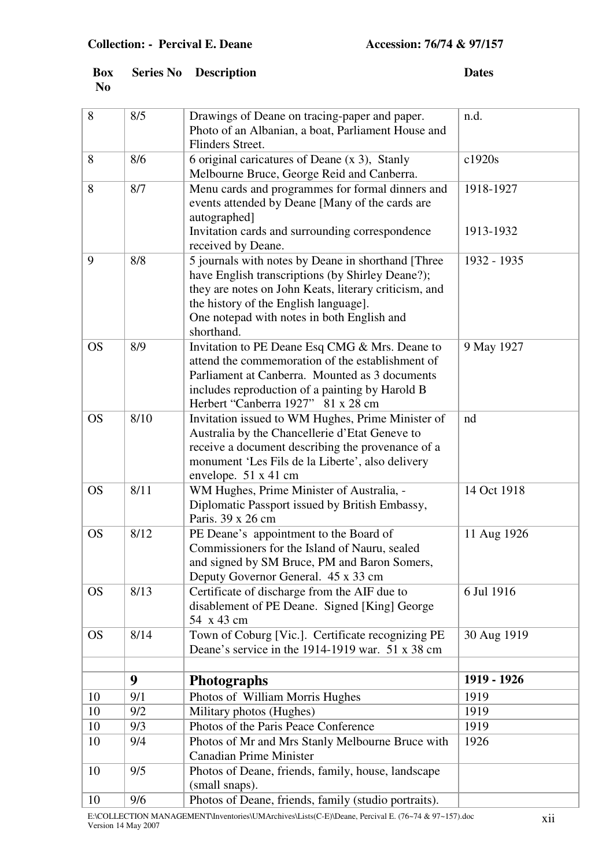|                | <b>Box</b> Series No Description | <b>Dates</b> |
|----------------|----------------------------------|--------------|
| N <sub>0</sub> |                                  |              |

| 8         | 8/5            | Drawings of Deane on tracing-paper and paper.                                               | n.d.        |
|-----------|----------------|---------------------------------------------------------------------------------------------|-------------|
|           |                | Photo of an Albanian, a boat, Parliament House and                                          |             |
|           |                | Flinders Street.                                                                            |             |
| 8         | 8/6            | 6 original caricatures of Deane (x 3), Stanly<br>Melbourne Bruce, George Reid and Canberra. | c1920s      |
| 8         | 8/7            | Menu cards and programmes for formal dinners and                                            | 1918-1927   |
|           |                | events attended by Deane [Many of the cards are                                             |             |
|           |                | autographed]                                                                                |             |
|           |                | Invitation cards and surrounding correspondence                                             | 1913-1932   |
|           |                | received by Deane.                                                                          |             |
| 9         | 8/8            | 5 journals with notes by Deane in shorthand [Three                                          | 1932 - 1935 |
|           |                | have English transcriptions (by Shirley Deane?);                                            |             |
|           |                | they are notes on John Keats, literary criticism, and                                       |             |
|           |                | the history of the English language].                                                       |             |
|           |                | One notepad with notes in both English and<br>shorthand.                                    |             |
| <b>OS</b> | 8/9            | Invitation to PE Deane Esq CMG & Mrs. Deane to                                              | 9 May 1927  |
|           |                | attend the commemoration of the establishment of                                            |             |
|           |                | Parliament at Canberra. Mounted as 3 documents                                              |             |
|           |                | includes reproduction of a painting by Harold B                                             |             |
|           |                | Herbert "Canberra 1927" 81 x 28 cm                                                          |             |
| <b>OS</b> | 8/10           | Invitation issued to WM Hughes, Prime Minister of                                           | nd          |
|           |                | Australia by the Chancellerie d'Etat Geneve to                                              |             |
|           |                | receive a document describing the provenance of a                                           |             |
|           |                | monument 'Les Fils de la Liberte', also delivery<br>envelope. 51 x 41 cm                    |             |
| <b>OS</b> | 8/11           | WM Hughes, Prime Minister of Australia, -                                                   | 14 Oct 1918 |
|           |                | Diplomatic Passport issued by British Embassy,                                              |             |
|           |                | Paris. 39 x 26 cm                                                                           |             |
| <b>OS</b> | 8/12           | PE Deane's appointment to the Board of                                                      | 11 Aug 1926 |
|           |                | Commissioners for the Island of Nauru, sealed                                               |             |
|           |                | and signed by SM Bruce, PM and Baron Somers,                                                |             |
| <b>OS</b> | 8/13           | Deputy Governor General. 45 x 33 cm<br>Certificate of discharge from the AIF due to         | 6 Jul 1916  |
|           |                | disablement of PE Deane. Signed [King] George                                               |             |
|           |                | 54 x 43 cm                                                                                  |             |
| <b>OS</b> | 8/14           | Town of Coburg [Vic.]. Certificate recognizing PE                                           | 30 Aug 1919 |
|           |                | Deane's service in the 1914-1919 war. 51 x 38 cm                                            |             |
|           |                |                                                                                             |             |
|           | 9 <sup>°</sup> | <b>Photographs</b>                                                                          | 1919 - 1926 |
| 10        | 9/1            | Photos of William Morris Hughes                                                             | 1919        |
| 10        | 9/2            | Military photos (Hughes)                                                                    | 1919        |
| 10        | 9/3            | Photos of the Paris Peace Conference                                                        | 1919        |
| 10        | 9/4            | Photos of Mr and Mrs Stanly Melbourne Bruce with<br><b>Canadian Prime Minister</b>          | 1926        |
| 10        | 9/5            | Photos of Deane, friends, family, house, landscape                                          |             |
|           |                | (small snaps).                                                                              |             |
| 10        | 9/6            | Photos of Deane, friends, family (studio portraits).                                        |             |
|           |                |                                                                                             |             |